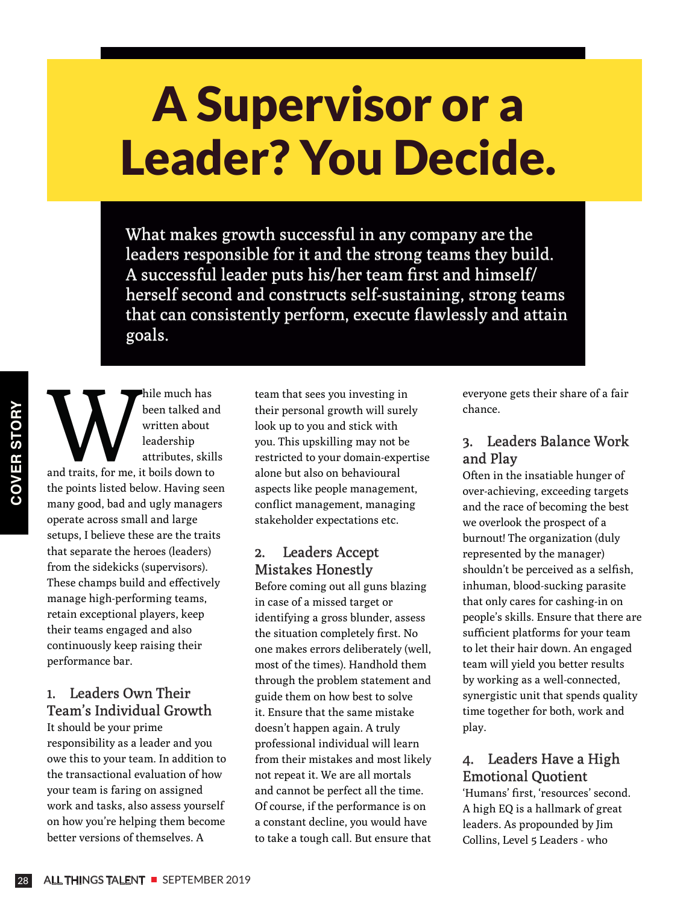# A Supervisor or a Leader? You Decide.

What makes growth successful in any company are the leaders responsible for it and the strong teams they build. A successful leader puts his/her team first and himself/ herself second and constructs self-sustaining, strong teams that can consistently perform, execute flawlessly and attain goals.

hile much has been talked and written about leadership<br>and traits, for me, it boils down to been talked and written about leadership attributes, skills the points listed below. Having seen many good, bad and ugly managers operate across small and large setups, I believe these are the traits that separate the heroes (leaders) from the sidekicks (supervisors). These champs build and effectively manage high-performing teams, retain exceptional players, keep their teams engaged and also continuously keep raising their performance bar.

### 1. Leaders Own Their Team's Individual Growth

It should be your prime responsibility as a leader and you owe this to your team. In addition to the transactional evaluation of how your team is faring on assigned work and tasks, also assess yourself on how you're helping them become better versions of themselves. A

team that sees you investing in their personal growth will surely look up to you and stick with you. This upskilling may not be restricted to your domain-expertise alone but also on behavioural aspects like people management, conflict management, managing stakeholder expectations etc.

#### 2. Leaders Accept Mistakes Honestly

Before coming out all guns blazing in case of a missed target or identifying a gross blunder, assess the situation completely first. No one makes errors deliberately (well, most of the times). Handhold them through the problem statement and guide them on how best to solve it. Ensure that the same mistake doesn't happen again. A truly professional individual will learn from their mistakes and most likely not repeat it. We are all mortals and cannot be perfect all the time. Of course, if the performance is on a constant decline, you would have to take a tough call. But ensure that

everyone gets their share of a fair chance.

### 3. Leaders Balance Work and Play

Often in the insatiable hunger of over-achieving, exceeding targets and the race of becoming the best we overlook the prospect of a burnout! The organization (duly represented by the manager) shouldn't be perceived as a selfish, inhuman, blood-sucking parasite that only cares for cashing-in on people's skills. Ensure that there are sufficient platforms for your team to let their hair down. An engaged team will yield you better results by working as a well-connected, synergistic unit that spends quality time together for both, work and play.

## 4. Leaders Have a High Emotional Quotient

'Humans' first, 'resources' second. A high EQ is a hallmark of great leaders. As propounded by Jim Collins, Level 5 Leaders - who